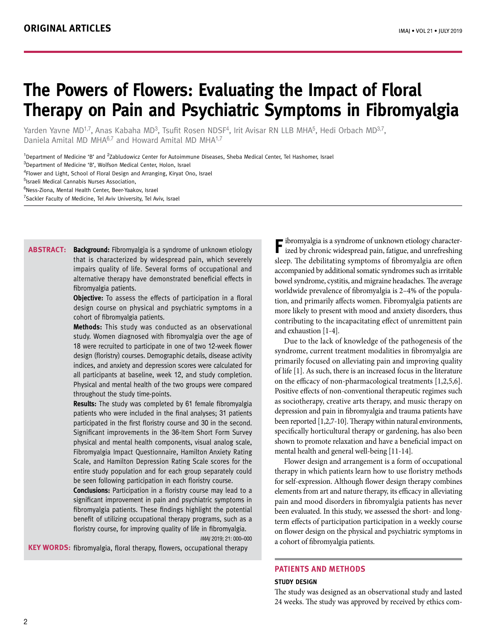# **The Powers of Flowers: Evaluating the Impact of Floral Therapy on Pain and Psychiatric Symptoms in Fibromyalgia**

Yarden Yavne MD<sup>1,7</sup>, Anas Kabaha MD<sup>3</sup>, Tsufit Rosen NDSF<sup>4</sup>, Irit Avisar RN LLB MHA<sup>5</sup>, Hedi Orbach MD<sup>3,7</sup>, Daniela Amital MD MHA<sup>6,7</sup> and Howard Amital MD MHA<sup>1,7</sup>

<sup>1</sup>Department of Medicine 'B' and <sup>2</sup>Zabludowicz Center for Autoimmune Diseases, Sheba Medical Center, Tel Hashomer, Israel

<sup>3</sup>Department of Medicine 'B', Wolfson Medical Center, Holon, Israel

4 Flower and Light, School of Floral Design and Arranging, Kiryat Ono, Israel

5 Israeli Medical Cannabis Nurses Association,

<sup>6</sup>Ness-Ziona, Mental Health Center, Beer-Yaakov, Israel

<sup>7</sup>Sackler Faculty of Medicine, Tel Aviv University, Tel Aviv, Israel

**ABSTRACT:** Background: Fibromyalgia is a syndrome of unknown etiology that is characterized by widespread pain, which severely impairs quality of life. Several forms of occupational and alternative therapy have demonstrated beneficial effects in fibromyalgia patients.

**Objective:** To assess the effects of participation in a floral design course on physical and psychiatric symptoms in a cohort of fibromyalgia patients.

**Methods:** This study was conducted as an observational study. Women diagnosed with fibromyalgia over the age of 18 were recruited to participate in one of two 12-week flower design (floristry) courses. Demographic details, disease activity indices, and anxiety and depression scores were calculated for all participants at baseline, week 12, and study completion. Physical and mental health of the two groups were compared throughout the study time-points.

**Results:** The study was completed by 61 female fibromyalgia patients who were included in the final analyses; 31 patients participated in the first floristry course and 30 in the second. Significant improvements in the 36-Item Short Form Survey physical and mental health components, visual analog scale, Fibromyalgia Impact Questionnaire, Hamilton Anxiety Rating Scale, and Hamilton Depression Rating Scale scores for the entire study population and for each group separately could be seen following participation in each floristry course.

**Conclusions:** Participation in a floristry course may lead to a significant improvement in pain and psychiatric symptoms in fibromyalgia patients. These findings highlight the potential benefit of utilizing occupational therapy programs, such as a floristry course, for improving quality of life in fibromyalgia. IMAJ 2019; 21: 000–000

**KEY WORDS:** fibromyalgia, floral therapy, flowers, occupational therapy

**F** ibromyalgia is a syndrome of unknown etiology characterized by chronic widespread pain, fatigue, and unrefreshing sleep. The debilitating symptoms of fibromyalgia are often accompanied by additional somatic syndromes such as irritable bowel syndrome, cystitis, and migraine headaches. The average worldwide prevalence of fibromyalgia is 2–4% of the population, and primarily affects women. Fibromyalgia patients are more likely to present with mood and anxiety disorders, thus contributing to the incapacitating effect of unremittent pain and exhaustion [1-4].

Due to the lack of knowledge of the pathogenesis of the syndrome, current treatment modalities in fibromyalgia are primarily focused on alleviating pain and improving quality of life [1]. As such, there is an increased focus in the literature on the efficacy of non-pharmacological treatments [1,2,5,6]. Positive effects of non-conventional therapeutic regimes such as sociotherapy, creative arts therapy, and music therapy on depression and pain in fibromyalgia and trauma patients have been reported [1,2,7-10]. Therapy within natural environments, specifically horticultural therapy or gardening, has also been shown to promote relaxation and have a beneficial impact on mental health and general well-being [11-14].

Flower design and arrangement is a form of occupational therapy in which patients learn how to use floristry methods for self-expression. Although flower design therapy combines elements from art and nature therapy, its efficacy in alleviating pain and mood disorders in fibromyalgia patients has never been evaluated. In this study, we assessed the short- and longterm effects of participation participation in a weekly course on flower design on the physical and psychiatric symptoms in a cohort of fibromyalgia patients.

# **PATIENTS AND METHODS**

#### **Study design**

The study was designed as an observational study and lasted 24 weeks. The study was approved by received by ethics com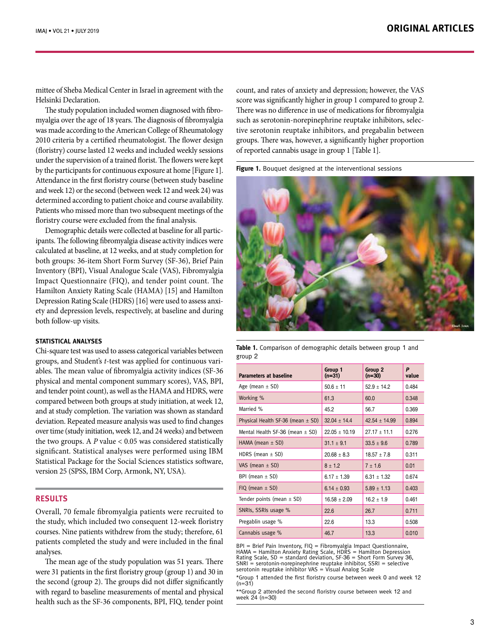mittee of Sheba Medical Center in Israel in agreement with the Helsinki Declaration.

The study population included women diagnosed with fibromyalgia over the age of 18 years. The diagnosis of fibromyalgia was made according to the American College of Rheumatology 2010 criteria by a certified rheumatologist. The flower design (floristry) course lasted 12 weeks and included weekly sessions under the supervision of a trained florist. The flowers were kept by the participants for continuous exposure at home [Figure 1]. Attendance in the first floristry course (between study baseline and week 12) or the second (between week 12 and week 24) was determined according to patient choice and course availability. Patients who missed more than two subsequent meetings of the floristry course were excluded from the final analysis.

Demographic details were collected at baseline for all participants. The following fibromyalgia disease activity indices were calculated at baseline, at 12 weeks, and at study completion for both groups: 36-item Short Form Survey (SF-36), Brief Pain Inventory (BPI), Visual Analogue Scale (VAS), Fibromyalgia Impact Questionnaire (FIQ), and tender point count. The Hamilton Anxiety Rating Scale (HAMA) [15] and Hamilton Depression Rating Scale (HDRS) [16] were used to assess anxiety and depression levels, respectively, at baseline and during both follow-up visits.

#### **Statistical analyses**

Chi-square test was used to assess categorical variables between groups, and Student's *t*-test was applied for continuous variables. The mean value of fibromyalgia activity indices (SF-36 physical and mental component summary scores), VAS, BPI, and tender point count), as well as the HAMA and HDRS, were compared between both groups at study initiation, at week 12, and at study completion. The variation was shown as standard deviation. Repeated measure analysis was used to find changes over time (study initiation, week 12, and 24 weeks) and between the two groups. A *P* value < 0.05 was considered statistically significant. Statistical analyses were performed using IBM Statistical Package for the Social Sciences statistics software, version 25 (SPSS, IBM Corp, Armonk, NY, USA).

## **RESULTS**

Overall, 70 female fibromyalgia patients were recruited to the study, which included two consequent 12-week floristry courses. Nine patients withdrew from the study; therefore, 61 patients completed the study and were included in the final analyses.

The mean age of the study population was 51 years. There were 31 patients in the first floristry group (group 1) and 30 in the second (group 2). The groups did not differ significantly with regard to baseline measurements of mental and physical health such as the SF-36 components, BPI, FIQ, tender point

count, and rates of anxiety and depression; however, the VAS score was significantly higher in group 1 compared to group 2. There was no difference in use of medications for fibromyalgia such as serotonin-norepinephrine reuptake inhibitors, selective serotonin reuptake inhibitors, and pregabalin between groups. There was, however, a significantly higher proportion of reported cannabis usage in group 1 [Table 1].

**Figure 1.** Bouquet designed at the interventional sessions



**Table 1.** Comparison of demographic details between group 1 and group 2

| <b>Parameters at baseline</b>         | Group 1<br>$(n=31)$ | Group 2<br>$(n=30)$ | P<br>value |
|---------------------------------------|---------------------|---------------------|------------|
| Age (mean $\pm$ SD)                   | $50.6 \pm 11$       | $52.9 + 14.2$       | 0.484      |
| Working %                             | 61.3                | 60.0                | 0.348      |
| Married %                             | 45.2                | 56.7                | 0.369      |
| Physical Health SF-36 (mean $\pm$ SD) | $32.04 + 14.4$      | $42.54 + 14.99$     | 0.894      |
| Mental Health SF-36 (mean $\pm$ SD)   | $22.05 + 10.19$     | $27.17 + 11.1$      | 0.276      |
| HAMA (mean $\pm$ SD)                  | $31.1 + 9.1$        | $33.5 + 9.6$        | 0.789      |
| HDRS (mean $\pm$ SD)                  | $20.68 + 8.3$       | $18.57 + 7.8$       | 0.311      |
| VAS (mean $\pm$ SD)                   | $8 + 1.2$           | $7 + 1.6$           | 0.01       |
| BPI (mean $\pm$ SD)                   | $6.17 + 1.39$       | $6.31 + 1.32$       | 0.674      |
| $FIQ$ (mean $\pm$ SD)                 | $6.14 + 0.93$       | $5.89 \pm 1.13$     | 0.403      |
| Tender points (mean $\pm$ SD)         | $16.58 + 2.09$      | $16.2 + 1.9$        | 0.461      |
| SNRIs, SSRIs usage %                  | 22.6                | 26.7                | 0.711      |
| Pregablin usage %                     | 22.6                | 13.3                | 0.508      |
| Cannabis usage %                      | 46.7                | 13.3                | 0.010      |

BPI = Brief Pain Inventory, FIQ = Fibromyalgia Impact Questionnaire, HAMA = Hamilton Anxiety Rating Scale, HDRS = Hamilton Depression<br>Rating Scale, SD = standard deviation, SF-36 = Short Form Survey 36,<br>SNRI = serotonin-norepinephrine reuptake inhibitor, SSRI = selective serotonin reuptake inhibitor VAS = Visual Analog Scale

\*Group 1 attended the first floristry course between week 0 and week 12  $(n=31)$ 

\*\*Group 2 attended the second floristry course between week 12 and week 24 (n=30)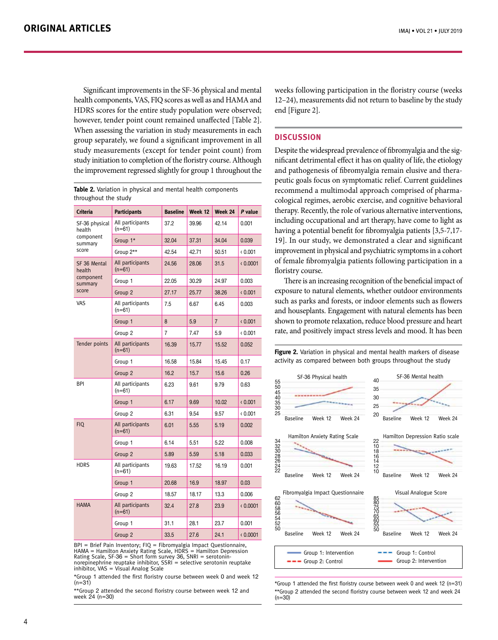IMAJ • VOL 21 • july 2019

Significant improvements in the SF-36 physical and mental health components, VAS, FIQ scores as well as and HAMA and HDRS scores for the entire study population were observed; however, tender point count remained unaffected [Table 2]. When assessing the variation in study measurements in each group separately, we found a significant improvement in all study measurements (except for tender point count) from study initiation to completion of the floristry course. Although the improvement regressed slightly for group 1 throughout the

**Table 2.** Variation in physical and mental health components throughout the study

| Criteria                                                  | <b>Participants</b>          | <b>Baseline</b> | Week 12 | Week 24        | P value  |
|-----------------------------------------------------------|------------------------------|-----------------|---------|----------------|----------|
| SF-36 physical<br>health<br>component<br>summary<br>score | All participants<br>$(n=61)$ | 37.2            | 39.96   | 42.14          | 0.001    |
|                                                           | Group 1*                     | 32.04           | 37.31   | 34.04          | 0.039    |
|                                                           | Group 2**                    | 42.54           | 42.71   | 50.51          | (0.001)  |
| SF 36 Mental<br>health<br>component<br>summary<br>score   | All participants<br>$(n=61)$ | 24.56           | 28.06   | 31.5           | (0.0001) |
|                                                           | Group 1                      | 22.05           | 30.29   | 24.97          | 0.003    |
|                                                           | Group 2                      | 27.17           | 25.77   | 38.26          | (0.001)  |
| VAS                                                       | All participants<br>$(n=61)$ | 7.5             | 6.67    | 6.45           | 0.003    |
|                                                           | Group 1                      | 8               | 5.9     | $\overline{7}$ | (0.001)  |
|                                                           | Group 2                      | $\overline{7}$  | 7.47    | 5.9            | (0.001)  |
| Tender points                                             | All participants<br>$(n=61)$ | 16.39           | 15.77   | 15.52          | 0.052    |
|                                                           | Group 1                      | 16.58           | 15.84   | 15.45          | 0.17     |
|                                                           | Group 2                      | 16.2            | 15.7    | 15.6           | 0.26     |
| BPI                                                       | All participants<br>$(n=61)$ | 6.23            | 9.61    | 9.79           | 0.63     |
|                                                           | Group 1                      | 6.17            | 9.69    | 10.02          | (0.001)  |
|                                                           | Group 2                      | 6.31            | 9.54    | 9.57           | (0.001)  |
| <b>FIQ</b>                                                | All participants<br>$(n=61)$ | 6.01            | 5.55    | 5.19           | 0.002    |
|                                                           | Group 1                      | 6.14            | 5.51    | 5.22           | 0.008    |
|                                                           | Group 2                      | 5.89            | 5.59    | 5.18           | 0.033    |
| <b>HDRS</b>                                               | All participants<br>$(n=61)$ | 19.63           | 17.52   | 16.19          | 0.001    |
|                                                           | Group 1                      | 20.68           | 16.9    | 18.97          | 0.03     |
|                                                           | Group 2                      | 18.57           | 18.17   | 13.3           | 0.006    |
| <b>HAMA</b>                                               | All participants<br>$(n=61)$ | 32.4            | 27.8    | 23.9           | (0.0001) |
|                                                           | Group 1                      | 31.1            | 28.1    | 23.7           | 0.001    |
|                                                           | Group <sub>2</sub>           | 33.5            | 27.6    | 24.1           | (0.0001) |

BPI = Brief Pain Inventory; FIQ = Fibromyalgia Impact Questionnaire, HAMA = Hamilton Anxiety Rating Scale, HDRS = Hamilton Depression Rating Scale, SF-36 = Short form survey 36, SNRI = serotonin-<br>norepinephrine reuptake inhibitor. SSRI = selective serotonin reuptake norepinephrine reuptake inhibitor, SSRI inhibitor, VAS = Visual Analog Scale

\*Group 1 attended the first floristry course between week 0 and week 12  $(n=31)$ 

\*\*Group 2 attended the second floristry course between week 12 and week 24 (n=30)

weeks following participation in the floristry course (weeks 12–24), measurements did not return to baseline by the study end [Figure 2].

# **DISCUSSION**

Despite the widespread prevalence of fibromyalgia and the significant detrimental effect it has on quality of life, the etiology and pathogenesis of fibromyalgia remain elusive and therapeutic goals focus on symptomatic relief. Current guidelines recommend a multimodal approach comprised of pharmacological regimes, aerobic exercise, and cognitive behavioral therapy. Recently, the role of various alternative interventions, including occupational and art therapy, have come to light as having a potential benefit for fibromyalgia patients [3,5-7,17- 19]. In our study, we demonstrated a clear and significant improvement in physical and psychiatric symptoms in a cohort of female fibromyalgia patients following participation in a floristry course.

There is an increasing recognition of the beneficial impact of exposure to natural elements, whether outdoor environments such as parks and forests, or indoor elements such as flowers and houseplants. Engagement with natural elements has been shown to promote relaxation, reduce blood pressure and heart rate, and positively impact stress levels and mood. It has been

**Figure 2.** Variation in physical and mental health markers of disease activity as compared between both groups throughout the study



\*Group 1 attended the first floristry course between week 0 and week 12 (n=31) \*\*Group 2 attended the second floristry course between week 12 and week 24 (n=30)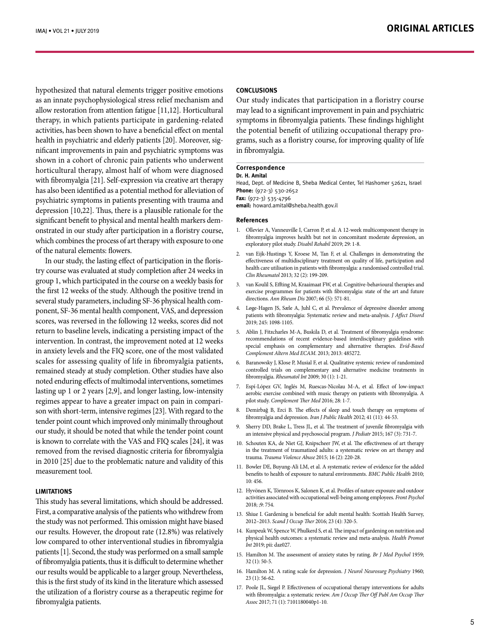hypothesized that natural elements trigger positive emotions as an innate psychophysiological stress relief mechanism and allow restoration from attention fatigue [11,12]. Horticultural therapy, in which patients participate in gardening-related activities, has been shown to have a beneficial effect on mental health in psychiatric and elderly patients [20]. Moreover, significant improvements in pain and psychiatric symptoms was shown in a cohort of chronic pain patients who underwent horticultural therapy, almost half of whom were diagnosed with fibromyalgia [21]. Self-expression via creative art therapy has also been identified as a potential method for alleviation of psychiatric symptoms in patients presenting with trauma and depression [10,22]. Thus, there is a plausible rationale for the significant benefit to physical and mental health markers demonstrated in our study after participation in a floristry course, which combines the process of art therapy with exposure to one of the natural elements: flowers.

In our study, the lasting effect of participation in the floristry course was evaluated at study completion after 24 weeks in group 1, which participated in the course on a weekly basis for the first 12 weeks of the study. Although the positive trend in several study parameters, including SF-36 physical health component, SF-36 mental health component, VAS, and depression scores, was reversed in the following 12 weeks, scores did not return to baseline levels, indicating a persisting impact of the intervention. In contrast, the improvement noted at 12 weeks in anxiety levels and the FIQ score, one of the most validated scales for assessing quality of life in fibromyalgia patients, remained steady at study completion. Other studies have also noted enduring effects of multimodal interventions, sometimes lasting up 1 or 2 years [2,9], and longer lasting, low-intensity regimes appear to have a greater impact on pain in comparison with short-term, intensive regimes [23]. With regard to the tender point count which improved only minimally throughout our study, it should be noted that while the tender point count is known to correlate with the VAS and FIQ scales [24], it was removed from the revised diagnostic criteria for fibromyalgia in 2010 [25] due to the problematic nature and validity of this measurement tool.

## **Limitations**

This study has several limitations, which should be addressed. First, a comparative analysis of the patients who withdrew from the study was not performed. This omission might have biased our results. However, the dropout rate (12.8%) was relatively low compared to other interventional studies in fibromyalgia patients [1]. Second, the study was performed on a small sample of fibromyalgia patients, thus it is difficult to determine whether our results would be applicable to a larger group. Nevertheless, this is the first study of its kind in the literature which assessed the utilization of a floristry course as a therapeutic regime for fibromyalgia patients.

### **Conclusions**

Our study indicates that participation in a floristry course may lead to a significant improvement in pain and psychiatric symptoms in fibromyalgia patients. These findings highlight the potential benefit of utilizing occupational therapy programs, such as a floristry course, for improving quality of life in fibromyalgia.

#### **Correspondence Dr. H. Amital**

Head, Dept. of Medicine B, Sheba Medical Center, Tel Hashomer 52621, Israel **Phone:** (972-3) 530-2652 **Fax:** (972-3) 535-4796

**email:** howard.amital@sheba.health.gov.il

#### **References**

- 1. Ollevier A, Vanneuville I, Carron P, et al. A 12-week multicomponent therapy in fibromyalgia improves health but not in concomitant moderate depression, an exploratory pilot study. *Disabil Rehabil* 2019; 29: 1-8.
- 2. van Eijk-Hustings Y, Kroese M, Tan F, et al. Challenges in demonstrating the effectiveness of multidisciplinary treatment on quality of life, participation and health care utilisation in patients with fibromyalgia: a randomised controlled trial. *Clin Rheumatol* 2013; 32 (2): 199-209.
- 3. van Koulil S, Effting M, Kraaimaat FW, et al. Cognitive-behavioural therapies and exercise programmes for patients with fibromyalgia: state of the art and future directions. *Ann Rheum Dis* 2007; 66 (5): 571-81.
- 4. Løge-Hagen JS, Sæle A, Juhl C, et al. Prevalence of depressive disorder among patients with fibromyalgia: Systematic review and meta-analysis. *J Affect Disord* 2019; 245: 1098-1105.
- 5. Ablin J, Fitzcharles M-A, Buskila D, et al. Treatment of fibromyalgia syndrome: recommendations of recent evidence-based interdisciplinary guidelines with special emphasis on complementary and alternative therapies. *Evid-Based Complement Altern Med ECAM*. 2013; 2013: 485272.
- 6. Baranowsky J, Klose P, Musial F, et al. Qualitative systemic review of randomized controlled trials on complementary and alternative medicine treatments in fibromyalgia. *Rheumatol Int* 2009; 30 (1): 1-21.
- 7. Espí-López GV, Inglés M, Ruescas-Nicolau M-A, et al. Effect of low-impact aerobic exercise combined with music therapy on patients with fibromyalgia. A pilot study. *Complement Ther Med* 2016; 28: 1-7.
- 8. Demirbağ B, Erci B. The effects of sleep and touch therapy on symptoms of fibromyalgia and depression. *Iran J Public Health* 2012; 41 (11): 44-53.
- 9. Sherry DD, Brake L, Tress JL, et al. The treatment of juvenile fibromyalgia with an intensive physical and psychosocial program. *J Pediatr* 2015; 167 (3): 731-7.
- 10. Schouten KA, de Niet GJ, Knipscheer JW, et al. The effectiveness of art therapy in the treatment of traumatized adults: a systematic review on art therapy and trauma. *Trauma Violence Abuse* 2015; 16 (2): 220-28.
- 11. Bowler DE, Buyung-Ali LM, et al. A systematic review of evidence for the added benefits to health of exposure to natural environments. *BMC Public Health* 2010; 10: 456.
- 12. Hyvönen K, Törnroos K, Salonen K, et al. Profiles of nature exposure and outdoor activities associated with occupational well-being among employees. *Front Psychol* 2018; ;9: 754.
- 13. Shiue I. Gardening is beneficial for adult mental health: Scottish Health Survey, 2012–2013. *Scand J Occup Ther* 2016; 23 (4): 320-5.
- 14. Kunpeuk W, Spence W, Phulkerd S, et al. The impact of gardening on nutrition and physical health outcomes: a systematic review and meta-analysis. *Health Promot Int* 2019; pii: daz027.
- 15. Hamilton M. The assessment of anxiety states by rating. *Br J Med Psychol* 1959; 32 (1): 50-5.
- 16. Hamilton M. A rating scale for depression. *J Neurol Neurosurg Psychiatry* 1960; 23 (1): 56-62.
- 17. Poole JL, Siegel P. Effectiveness of occupational therapy interventions for adults with fibromyalgia: a systematic review. *Am J Occup Ther Off Publ Am Occup Ther Assoc* 2017; 71 (1): 7101180040p1-10.